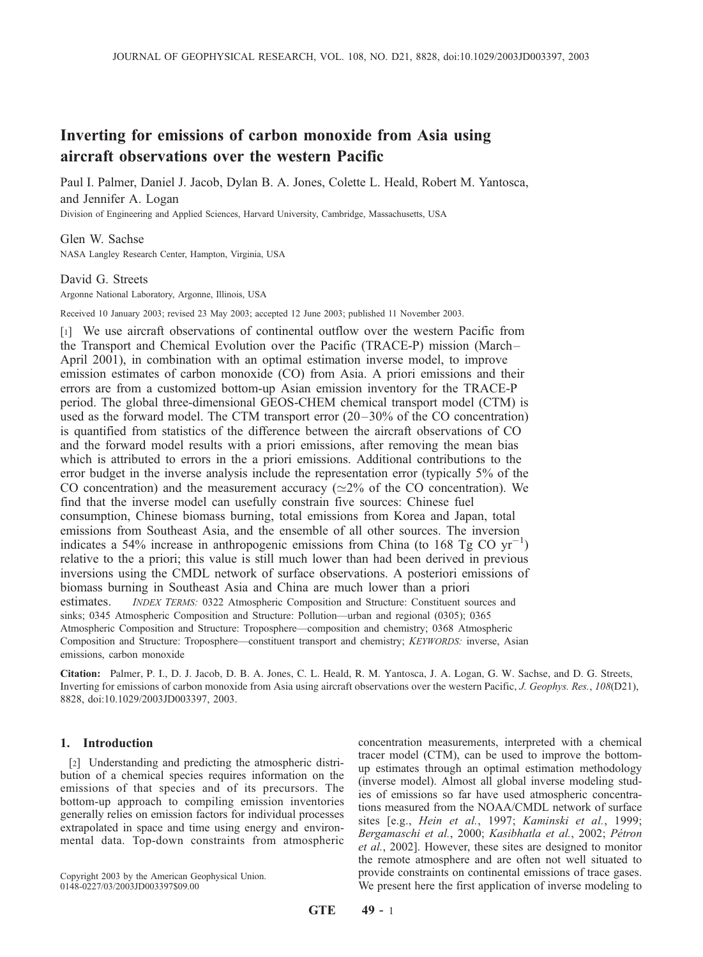# Inverting for emissions of carbon monoxide from Asia using aircraft observations over the western Pacific

Paul I. Palmer, Daniel J. Jacob, Dylan B. A. Jones, Colette L. Heald, Robert M. Yantosca, and Jennifer A. Logan Division of Engineering and Applied Sciences, Harvard University, Cambridge, Massachusetts, USA

Glen W. Sachse NASA Langley Research Center, Hampton, Virginia, USA

David G. Streets

Argonne National Laboratory, Argonne, Illinois, USA

Received 10 January 2003; revised 23 May 2003; accepted 12 June 2003; published 11 November 2003.

[1] We use aircraft observations of continental outflow over the western Pacific from the Transport and Chemical Evolution over the Pacific (TRACE-P) mission (March– April 2001), in combination with an optimal estimation inverse model, to improve emission estimates of carbon monoxide (CO) from Asia. A priori emissions and their errors are from a customized bottom-up Asian emission inventory for the TRACE-P period. The global three-dimensional GEOS-CHEM chemical transport model (CTM) is used as the forward model. The CTM transport error (20–30% of the CO concentration) is quantified from statistics of the difference between the aircraft observations of CO and the forward model results with a priori emissions, after removing the mean bias which is attributed to errors in the a priori emissions. Additional contributions to the error budget in the inverse analysis include the representation error (typically 5% of the CO concentration) and the measurement accuracy ( $\simeq$ 2% of the CO concentration). We find that the inverse model can usefully constrain five sources: Chinese fuel consumption, Chinese biomass burning, total emissions from Korea and Japan, total emissions from Southeast Asia, and the ensemble of all other sources. The inversion indicates a 54% increase in anthropogenic emissions from China (to 168 Tg CO  $yr^{-1}$ ) relative to the a priori; this value is still much lower than had been derived in previous inversions using the CMDL network of surface observations. A posteriori emissions of biomass burning in Southeast Asia and China are much lower than a priori estimates. INDEX TERMS: 0322 Atmospheric Composition and Structure: Constituent sources and sinks; 0345 Atmospheric Composition and Structure: Pollution—urban and regional (0305); 0365 Atmospheric Composition and Structure: Troposphere—composition and chemistry; 0368 Atmospheric Composition and Structure: Troposphere—constituent transport and chemistry; KEYWORDS: inverse, Asian emissions, carbon monoxide

Citation: Palmer, P. I., D. J. Jacob, D. B. A. Jones, C. L. Heald, R. M. Yantosca, J. A. Logan, G. W. Sachse, and D. G. Streets, Inverting for emissions of carbon monoxide from Asia using aircraft observations over the western Pacific, J. Geophys. Res., 108(D21), 8828, doi:10.1029/2003JD003397, 2003.

## 1. Introduction

[2] Understanding and predicting the atmospheric distribution of a chemical species requires information on the emissions of that species and of its precursors. The bottom-up approach to compiling emission inventories generally relies on emission factors for individual processes extrapolated in space and time using energy and environmental data. Top-down constraints from atmospheric

Copyright 2003 by the American Geophysical Union. 0148-0227/03/2003JD003397\$09.00

concentration measurements, interpreted with a chemical tracer model (CTM), can be used to improve the bottomup estimates through an optimal estimation methodology (inverse model). Almost all global inverse modeling studies of emissions so far have used atmospheric concentrations measured from the NOAA/CMDL network of surface sites [e.g., Hein et al., 1997; Kaminski et al., 1999; Bergamaschi et al., 2000; Kasibhatla et al., 2002; Pétron et al., 2002]. However, these sites are designed to monitor the remote atmosphere and are often not well situated to provide constraints on continental emissions of trace gases. We present here the first application of inverse modeling to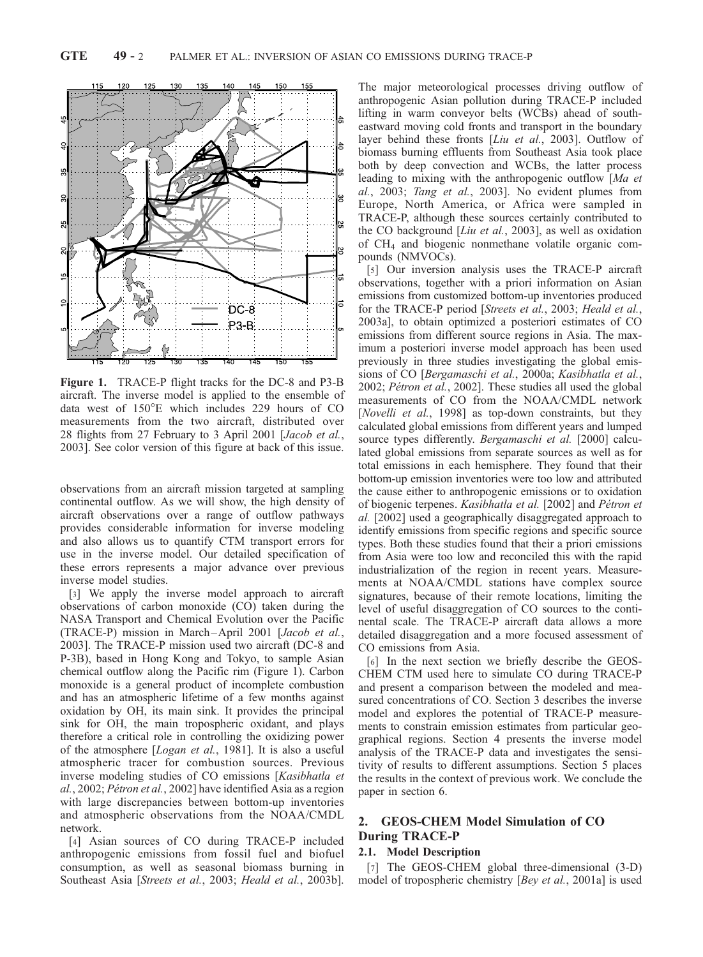

Figure 1. TRACE-P flight tracks for the DC-8 and P3-B aircraft. The inverse model is applied to the ensemble of data west of  $150^{\circ}$ E which includes 229 hours of CO measurements from the two aircraft, distributed over 28 flights from 27 February to 3 April 2001 [Jacob et al., 2003]. See color version of this figure at back of this issue.

observations from an aircraft mission targeted at sampling continental outflow. As we will show, the high density of aircraft observations over a range of outflow pathways provides considerable information for inverse modeling and also allows us to quantify CTM transport errors for use in the inverse model. Our detailed specification of these errors represents a major advance over previous inverse model studies.

[3] We apply the inverse model approach to aircraft observations of carbon monoxide (CO) taken during the NASA Transport and Chemical Evolution over the Pacific (TRACE-P) mission in March –April 2001 [Jacob et al., 2003]. The TRACE-P mission used two aircraft (DC-8 and P-3B), based in Hong Kong and Tokyo, to sample Asian chemical outflow along the Pacific rim (Figure 1). Carbon monoxide is a general product of incomplete combustion and has an atmospheric lifetime of a few months against oxidation by OH, its main sink. It provides the principal sink for OH, the main tropospheric oxidant, and plays therefore a critical role in controlling the oxidizing power of the atmosphere [Logan et al., 1981]. It is also a useful atmospheric tracer for combustion sources. Previous inverse modeling studies of CO emissions [Kasibhatla et  $al., 2002; Pétron et al., 2002] have identified Asia as a region$ with large discrepancies between bottom-up inventories and atmospheric observations from the NOAA/CMDL network.

[4] Asian sources of CO during TRACE-P included anthropogenic emissions from fossil fuel and biofuel consumption, as well as seasonal biomass burning in Southeast Asia [Streets et al., 2003; Heald et al., 2003b].

The major meteorological processes driving outflow of anthropogenic Asian pollution during TRACE-P included lifting in warm conveyor belts (WCBs) ahead of southeastward moving cold fronts and transport in the boundary layer behind these fronts [Liu et al., 2003]. Outflow of biomass burning effluents from Southeast Asia took place both by deep convection and WCBs, the latter process leading to mixing with the anthropogenic outflow [Ma et al., 2003; Tang et al., 2003]. No evident plumes from Europe, North America, or Africa were sampled in TRACE-P, although these sources certainly contributed to the CO background [Liu et al., 2003], as well as oxidation of CH4 and biogenic nonmethane volatile organic compounds (NMVOCs).

[5] Our inversion analysis uses the TRACE-P aircraft observations, together with a priori information on Asian emissions from customized bottom-up inventories produced for the TRACE-P period [Streets et al., 2003; Heald et al., 2003a], to obtain optimized a posteriori estimates of CO emissions from different source regions in Asia. The maximum a posteriori inverse model approach has been used previously in three studies investigating the global emissions of CO [Bergamaschi et al., 2000a; Kasibhatla et al., 2002; Pétron et al., 2002]. These studies all used the global measurements of CO from the NOAA/CMDL network [Novelli et al., 1998] as top-down constraints, but they calculated global emissions from different years and lumped source types differently. Bergamaschi et al. [2000] calculated global emissions from separate sources as well as for total emissions in each hemisphere. They found that their bottom-up emission inventories were too low and attributed the cause either to anthropogenic emissions or to oxidation of biogenic terpenes. Kasibhatla et al. [2002] and Pétron et al. [2002] used a geographically disaggregated approach to identify emissions from specific regions and specific source types. Both these studies found that their a priori emissions from Asia were too low and reconciled this with the rapid industrialization of the region in recent years. Measurements at NOAA/CMDL stations have complex source signatures, because of their remote locations, limiting the level of useful disaggregation of CO sources to the continental scale. The TRACE-P aircraft data allows a more detailed disaggregation and a more focused assessment of CO emissions from Asia.

[6] In the next section we briefly describe the GEOS-CHEM CTM used here to simulate CO during TRACE-P and present a comparison between the modeled and measured concentrations of CO. Section 3 describes the inverse model and explores the potential of TRACE-P measurements to constrain emission estimates from particular geographical regions. Section 4 presents the inverse model analysis of the TRACE-P data and investigates the sensitivity of results to different assumptions. Section 5 places the results in the context of previous work. We conclude the paper in section 6.

## 2. GEOS-CHEM Model Simulation of CO During TRACE-P

## 2.1. Model Description

[7] The GEOS-CHEM global three-dimensional  $(3-D)$ model of tropospheric chemistry [Bey et al., 2001a] is used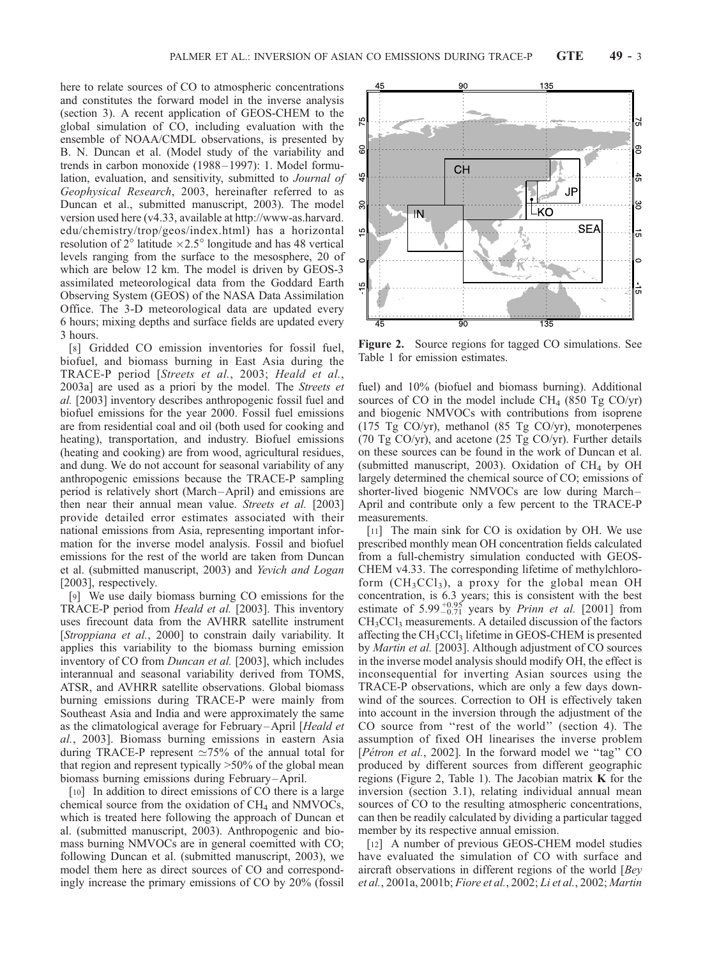here to relate sources of CO to atmospheric concentrations and constitutes the forward model in the inverse analysis (section 3). A recent application of GEOS-CHEM to the global simulation of CO, including evaluation with the ensemble of NOAA/CMDL observations, is presented by B. N. Duncan et al. (Model study of the variability and trends in carbon monoxide (1988 – 1997): 1. Model formulation, evaluation, and sensitivity, submitted to Journal of Geophysical Research, 2003, hereinafter referred to as Duncan et al., submitted manuscript, 2003). The model version used here (v4.33, available at http://www-as.harvard. edu/chemistry/trop/geos/index.html) has a horizontal resolution of  $2^{\circ}$  latitude  $\times 2.5^{\circ}$  longitude and has 48 vertical levels ranging from the surface to the mesosphere, 20 of which are below 12 km. The model is driven by GEOS-3 assimilated meteorological data from the Goddard Earth Observing System (GEOS) of the NASA Data Assimilation Office. The 3-D meteorological data are updated every 6 hours; mixing depths and surface fields are updated every 3 hours.

[8] Gridded CO emission inventories for fossil fuel, biofuel, and biomass burning in East Asia during the TRACE-P period [Streets et al., 2003; Heald et al., 2003a] are used as a priori by the model. The Streets et al. [2003] inventory describes anthropogenic fossil fuel and biofuel emissions for the year 2000. Fossil fuel emissions are from residential coal and oil (both used for cooking and heating), transportation, and industry. Biofuel emissions (heating and cooking) are from wood, agricultural residues, and dung. We do not account for seasonal variability of any anthropogenic emissions because the TRACE-P sampling period is relatively short (March –April) and emissions are then near their annual mean value. Streets et al. [2003] provide detailed error estimates associated with their national emissions from Asia, representing important information for the inverse model analysis. Fossil and biofuel emissions for the rest of the world are taken from Duncan et al. (submitted manuscript, 2003) and Yevich and Logan [2003], respectively.

[9] We use daily biomass burning CO emissions for the TRACE-P period from Heald et al. [2003]. This inventory uses firecount data from the AVHRR satellite instrument [Stroppiana et al., 2000] to constrain daily variability. It applies this variability to the biomass burning emission inventory of CO from Duncan et al. [2003], which includes interannual and seasonal variability derived from TOMS, ATSR, and AVHRR satellite observations. Global biomass burning emissions during TRACE-P were mainly from Southeast Asia and India and were approximately the same as the climatological average for February-April [Heald et al., 2003]. Biomass burning emissions in eastern Asia during TRACE-P represent  $\simeq 75\%$  of the annual total for that region and represent typically >50% of the global mean biomass burning emissions during February-April.

[10] In addition to direct emissions of CO there is a large chemical source from the oxidation of  $CH<sub>4</sub>$  and NMVOCs, which is treated here following the approach of Duncan et al. (submitted manuscript, 2003). Anthropogenic and biomass burning NMVOCs are in general coemitted with CO; following Duncan et al. (submitted manuscript, 2003), we model them here as direct sources of CO and correspondingly increase the primary emissions of CO by 20% (fossil Figure 2. Source regions for tagged CO simulations. See Table 1 for emission estimates.

fuel) and 10% (biofuel and biomass burning). Additional sources of CO in the model include  $CH_4$  (850 Tg CO/yr) and biogenic NMVOCs with contributions from isoprene (175 Tg CO/yr), methanol (85 Tg CO/yr), monoterpenes (70 Tg CO/yr), and acetone (25 Tg CO/yr). Further details on these sources can be found in the work of Duncan et al. (submitted manuscript, 2003). Oxidation of  $CH_4$  by OH largely determined the chemical source of CO; emissions of shorter-lived biogenic NMVOCs are low during March – April and contribute only a few percent to the TRACE-P measurements.

[11] The main sink for CO is oxidation by OH. We use prescribed monthly mean OH concentration fields calculated from a full-chemistry simulation conducted with GEOS-CHEM v4.33. The corresponding lifetime of methylchloroform  $(CH_3CCl_3)$ , a proxy for the global mean OH concentration, is 6.3 years; this is consistent with the best estimate of  $5.99^{+0.95}_{-0.71}$  years by *Prinn et al.* [2001] from  $CH<sub>3</sub>CCl<sub>3</sub>$  measurements. A detailed discussion of the factors affecting the  $CH<sub>3</sub>CCl<sub>3</sub>$  lifetime in GEOS-CHEM is presented by Martin et al. [2003]. Although adjustment of CO sources in the inverse model analysis should modify OH, the effect is inconsequential for inverting Asian sources using the TRACE-P observations, which are only a few days downwind of the sources. Correction to OH is effectively taken into account in the inversion through the adjustment of the CO source from ''rest of the world'' (section 4). The assumption of fixed OH linearises the inverse problem [*Pétron et al.*, 2002]. In the forward model we "tag" CO produced by different sources from different geographic regions (Figure 2, Table 1). The Jacobian matrix  $K$  for the inversion (section 3.1), relating individual annual mean sources of CO to the resulting atmospheric concentrations, can then be readily calculated by dividing a particular tagged member by its respective annual emission.

[12] A number of previous GEOS-CHEM model studies have evaluated the simulation of CO with surface and aircraft observations in different regions of the world [Bey et al., 2001a, 2001b; Fiore et al., 2002; Li et al., 2002; Martin

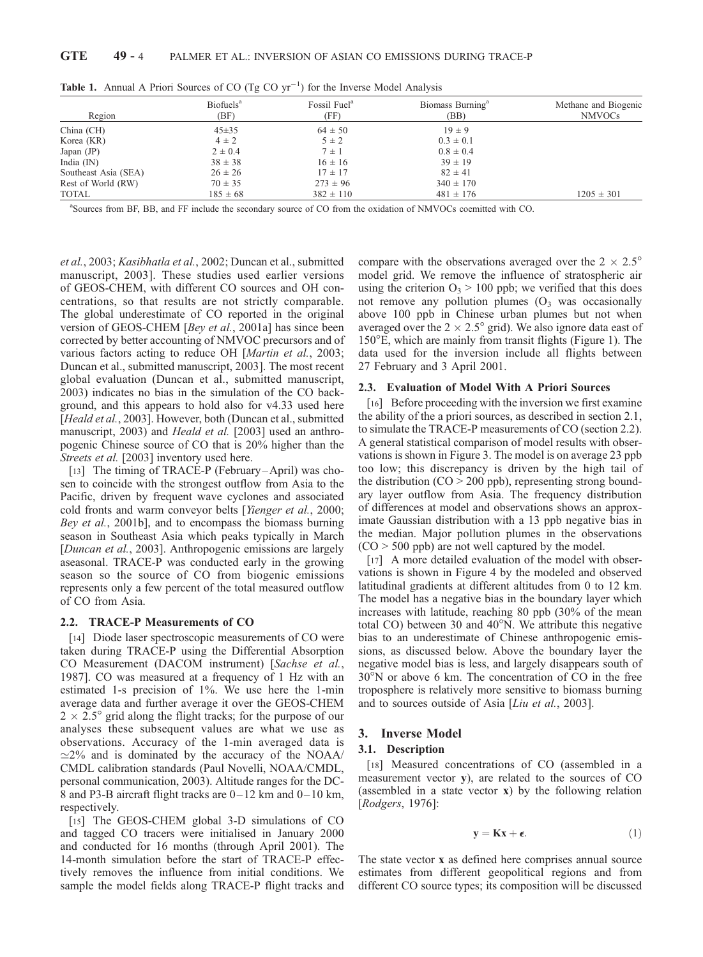| Region               | Biofuels <sup>a</sup><br>(BF) | Fossil Fuel <sup>a</sup><br>(FF) | Biomass Burning <sup>a</sup><br>(BB) | Methane and Biogenic<br><b>NMVOCs</b> |
|----------------------|-------------------------------|----------------------------------|--------------------------------------|---------------------------------------|
| China (CH)           | $45 \pm 35$                   | $64 \pm 50$                      | $19 \pm 9$                           |                                       |
| Korea (KR)           | $4 \pm 2$                     | $5 \pm 2$                        | $0.3 \pm 0.1$                        |                                       |
| Japan $(JP)$         | $2 \pm 0.4$                   | $7 \pm 1$                        | $0.8 \pm 0.4$                        |                                       |
| India $(IN)$         | $38 \pm 38$                   | $16 \pm 16$                      | $39 \pm 19$                          |                                       |
| Southeast Asia (SEA) | $26 \pm 26$                   | $17 \pm 17$                      | $82 \pm 41$                          |                                       |
| Rest of World (RW)   | $70 \pm 35$                   | $273 \pm 96$                     | $340 \pm 170$                        |                                       |
| TOTAL                | $185 \pm 68$                  | $382 \pm 110$                    | $481 \pm 176$                        | $1205 \pm 301$                        |

**Table 1.** Annual A Priori Sources of CO  $(Tg CO yr^{-1})$  for the Inverse Model Analysis

a Sources from BF, BB, and FF include the secondary source of CO from the oxidation of NMVOCs coemitted with CO.

et al., 2003; Kasibhatla et al., 2002; Duncan et al., submitted manuscript, 2003]. These studies used earlier versions of GEOS-CHEM, with different CO sources and OH concentrations, so that results are not strictly comparable. The global underestimate of CO reported in the original version of GEOS-CHEM [Bey et al., 2001a] has since been corrected by better accounting of NMVOC precursors and of various factors acting to reduce OH [Martin et al., 2003; Duncan et al., submitted manuscript, 2003]. The most recent global evaluation (Duncan et al., submitted manuscript, 2003) indicates no bias in the simulation of the CO background, and this appears to hold also for v4.33 used here [Heald et al., 2003]. However, both (Duncan et al., submitted manuscript, 2003) and *Heald et al.* [2003] used an anthropogenic Chinese source of CO that is 20% higher than the Streets et al. [2003] inventory used here.

[13] The timing of TRACE-P (February–April) was chosen to coincide with the strongest outflow from Asia to the Pacific, driven by frequent wave cyclones and associated cold fronts and warm conveyor belts [Yienger et al., 2000; Bey et al., 2001b], and to encompass the biomass burning season in Southeast Asia which peaks typically in March [Duncan et al., 2003]. Anthropogenic emissions are largely aseasonal. TRACE-P was conducted early in the growing season so the source of CO from biogenic emissions represents only a few percent of the total measured outflow of CO from Asia.

## 2.2. TRACE-P Measurements of CO

[14] Diode laser spectroscopic measurements of CO were taken during TRACE-P using the Differential Absorption CO Measurement (DACOM instrument) [Sachse et al., 1987]. CO was measured at a frequency of 1 Hz with an estimated 1-s precision of 1%. We use here the 1-min average data and further average it over the GEOS-CHEM  $2 \times 2.5^{\circ}$  grid along the flight tracks; for the purpose of our analyses these subsequent values are what we use as observations. Accuracy of the 1-min averaged data is  $\approx$ 2% and is dominated by the accuracy of the NOAA/ CMDL calibration standards (Paul Novelli, NOAA/CMDL, personal communication, 2003). Altitude ranges for the DC-8 and P3-B aircraft flight tracks are  $0-12$  km and  $0-10$  km, respectively.

[15] The GEOS-CHEM global 3-D simulations of CO and tagged CO tracers were initialised in January 2000 and conducted for 16 months (through April 2001). The 14-month simulation before the start of TRACE-P effectively removes the influence from initial conditions. We sample the model fields along TRACE-P flight tracks and compare with the observations averaged over the  $2 \times 2.5^{\circ}$ model grid. We remove the influence of stratospheric air using the criterion  $O_3$  > 100 ppb; we verified that this does not remove any pollution plumes  $(O_3$  was occasionally above 100 ppb in Chinese urban plumes but not when averaged over the  $2 \times 2.5^{\circ}$  grid). We also ignore data east of 150E, which are mainly from transit flights (Figure 1). The data used for the inversion include all flights between 27 February and 3 April 2001.

## 2.3. Evaluation of Model With A Priori Sources

[16] Before proceeding with the inversion we first examine the ability of the a priori sources, as described in section 2.1, to simulate the TRACE-P measurements of CO (section 2.2). A general statistical comparison of model results with observations is shown in Figure 3. The model is on average 23 ppb too low; this discrepancy is driven by the high tail of the distribution  $(CO > 200$  ppb), representing strong boundary layer outflow from Asia. The frequency distribution of differences at model and observations shows an approximate Gaussian distribution with a 13 ppb negative bias in the median. Major pollution plumes in the observations  $(CO > 500$  ppb) are not well captured by the model.

[17] A more detailed evaluation of the model with observations is shown in Figure 4 by the modeled and observed latitudinal gradients at different altitudes from 0 to 12 km. The model has a negative bias in the boundary layer which increases with latitude, reaching 80 ppb (30% of the mean total CO) between 30 and  $40^{\circ}$ N. We attribute this negative bias to an underestimate of Chinese anthropogenic emissions, as discussed below. Above the boundary layer the negative model bias is less, and largely disappears south of 30°N or above 6 km. The concentration of CO in the free troposphere is relatively more sensitive to biomass burning and to sources outside of Asia [Liu et al., 2003].

## 3. Inverse Model

#### 3.1. Description

[18] Measured concentrations of CO (assembled in a measurement vector y), are related to the sources of CO (assembled in a state vector x) by the following relation [Rodgers, 1976]:

$$
y = Kx + \epsilon. \tag{1}
$$

The state vector x as defined here comprises annual source estimates from different geopolitical regions and from different CO source types; its composition will be discussed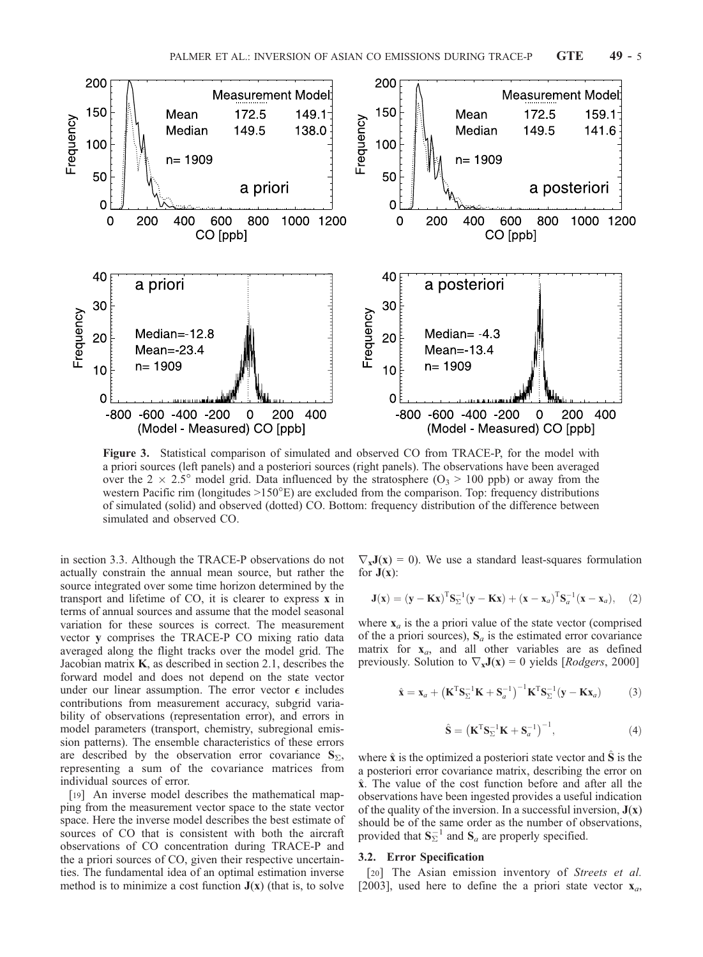

Figure 3. Statistical comparison of simulated and observed CO from TRACE-P, for the model with a priori sources (left panels) and a posteriori sources (right panels). The observations have been averaged over the 2  $\times$  2.5° model grid. Data influenced by the stratosphere (O<sub>3</sub> > 100 ppb) or away from the western Pacific rim (longitudes  $>150^{\circ}E$ ) are excluded from the comparison. Top: frequency distributions of simulated (solid) and observed (dotted) CO. Bottom: frequency distribution of the difference between simulated and observed CO.

in section 3.3. Although the TRACE-P observations do not actually constrain the annual mean source, but rather the source integrated over some time horizon determined by the transport and lifetime of CO, it is clearer to express x in terms of annual sources and assume that the model seasonal variation for these sources is correct. The measurement vector y comprises the TRACE-P CO mixing ratio data averaged along the flight tracks over the model grid. The Jacobian matrix  $K$ , as described in section 2.1, describes the forward model and does not depend on the state vector under our linear assumption. The error vector  $\epsilon$  includes contributions from measurement accuracy, subgrid variability of observations (representation error), and errors in model parameters (transport, chemistry, subregional emission patterns). The ensemble characteristics of these errors are described by the observation error covariance  $S_{\Sigma}$ , representing a sum of the covariance matrices from individual sources of error.

[19] An inverse model describes the mathematical mapping from the measurement vector space to the state vector space. Here the inverse model describes the best estimate of sources of CO that is consistent with both the aircraft observations of CO concentration during TRACE-P and the a priori sources of CO, given their respective uncertainties. The fundamental idea of an optimal estimation inverse method is to minimize a cost function  $J(x)$  (that is, to solve

 $\nabla_{\mathbf{x}}\mathbf{J}(\mathbf{x}) = 0$ . We use a standard least-squares formulation for  $J(x)$ :

$$
\mathbf{J}(\mathbf{x}) = (\mathbf{y} - \mathbf{K}\mathbf{x})^{\mathrm{T}} \mathbf{S}_{\Sigma}^{-1} (\mathbf{y} - \mathbf{K}\mathbf{x}) + (\mathbf{x} - \mathbf{x}_a)^{\mathrm{T}} \mathbf{S}_a^{-1} (\mathbf{x} - \mathbf{x}_a), \quad (2)
$$

where  $x_a$  is the a priori value of the state vector (comprised of the a priori sources),  $S_a$  is the estimated error covariance matrix for  $x_a$ , and all other variables are as defined previously. Solution to  $\nabla_{\mathbf{x}}\mathbf{J}(\mathbf{x}) = 0$  yields [*Rodgers*, 2000]

$$
\hat{\mathbf{x}} = \mathbf{x}_a + \left(\mathbf{K}^{\mathrm{T}} \mathbf{S}_{\Sigma}^{-1} \mathbf{K} + \mathbf{S}_a^{-1}\right)^{-1} \mathbf{K}^{\mathrm{T}} \mathbf{S}_{\Sigma}^{-1} (\mathbf{y} - \mathbf{K} \mathbf{x}_a)
$$
(3)

$$
\hat{\mathbf{S}} = \left(\mathbf{K}^{\mathrm{T}} \mathbf{S}_{\Sigma}^{-1} \mathbf{K} + \mathbf{S}_{a}^{-1}\right)^{-1},\tag{4}
$$

where  $\hat{x}$  is the optimized a posteriori state vector and S is the a posteriori error covariance matrix, describing the error on  $\hat{x}$ . The value of the cost function before and after all the observations have been ingested provides a useful indication of the quality of the inversion. In a successful inversion,  $J(x)$ should be of the same order as the number of observations, provided that  $S_{\Sigma}^{-1}$  and  $S_a$  are properly specified.

## 3.2. Error Specification

[20] The Asian emission inventory of Streets et al. [2003], used here to define the a priori state vector  $\mathbf{x}_a$ ,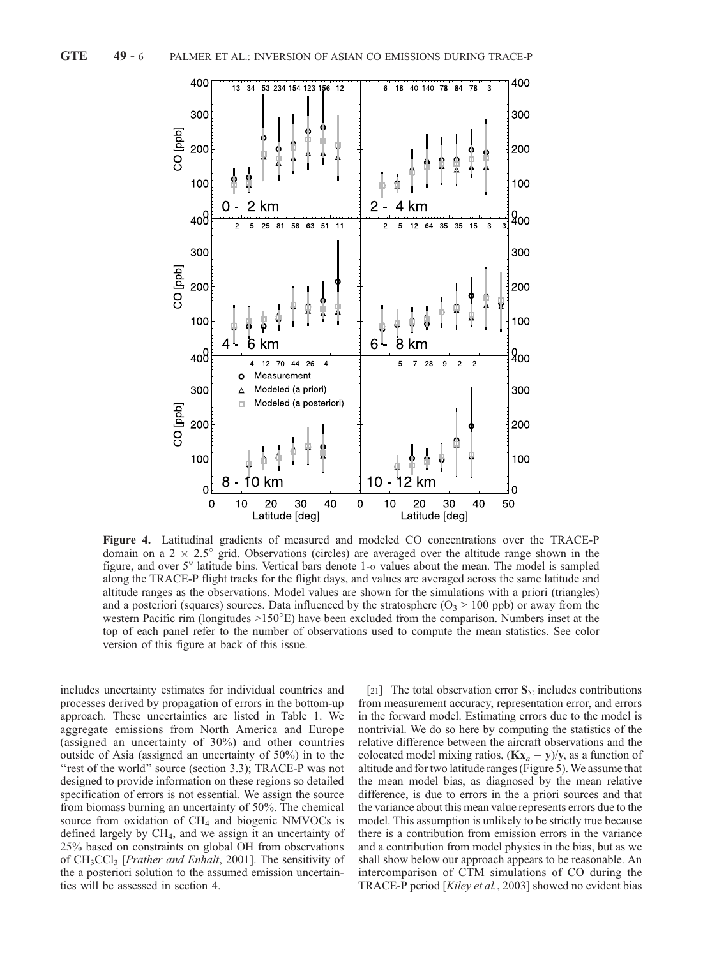

Figure 4. Latitudinal gradients of measured and modeled CO concentrations over the TRACE-P domain on a  $2 \times 2.5^{\circ}$  grid. Observations (circles) are averaged over the altitude range shown in the figure, and over  $5^\circ$  latitude bins. Vertical bars denote  $1-\sigma$  values about the mean. The model is sampled along the TRACE-P flight tracks for the flight days, and values are averaged across the same latitude and altitude ranges as the observations. Model values are shown for the simulations with a priori (triangles) and a posteriori (squares) sources. Data influenced by the stratosphere  $(O_3 > 100 \text{ pb})$  or away from the western Pacific rim (longitudes  $>150^{\circ}E$ ) have been excluded from the comparison. Numbers inset at the top of each panel refer to the number of observations used to compute the mean statistics. See color version of this figure at back of this issue.

includes uncertainty estimates for individual countries and processes derived by propagation of errors in the bottom-up approach. These uncertainties are listed in Table 1. We aggregate emissions from North America and Europe (assigned an uncertainty of 30%) and other countries outside of Asia (assigned an uncertainty of 50%) in to the "rest of the world" source (section 3.3); TRACE-P was not designed to provide information on these regions so detailed specification of errors is not essential. We assign the source from biomass burning an uncertainty of 50%. The chemical source from oxidation of  $CH<sub>4</sub>$  and biogenic NMVOCs is defined largely by  $CH<sub>4</sub>$ , and we assign it an uncertainty of 25% based on constraints on global OH from observations of CH<sub>3</sub>CCl<sub>3</sub> [*Prather and Enhalt*, 2001]. The sensitivity of the a posteriori solution to the assumed emission uncertainties will be assessed in section 4.

[21] The total observation error  $S_{\Sigma}$  includes contributions from measurement accuracy, representation error, and errors in the forward model. Estimating errors due to the model is nontrivial. We do so here by computing the statistics of the relative difference between the aircraft observations and the colocated model mixing ratios,  $(Kx_a - y)/y$ , as a function of altitude and for two latitude ranges (Figure 5). We assume that the mean model bias, as diagnosed by the mean relative difference, is due to errors in the a priori sources and that the variance about this mean value represents errors due to the model. This assumption is unlikely to be strictly true because there is a contribution from emission errors in the variance and a contribution from model physics in the bias, but as we shall show below our approach appears to be reasonable. An intercomparison of CTM simulations of CO during the TRACE-P period [Kiley et al., 2003] showed no evident bias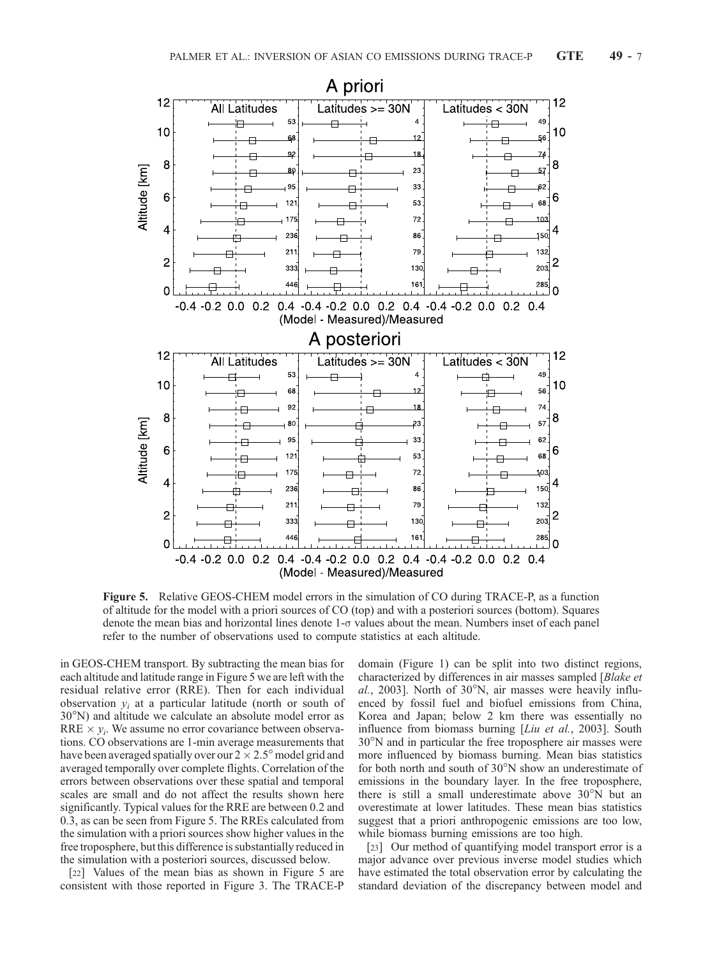

Figure 5. Relative GEOS-CHEM model errors in the simulation of CO during TRACE-P, as a function of altitude for the model with a priori sources of CO (top) and with a posteriori sources (bottom). Squares denote the mean bias and horizontal lines denote  $1-\sigma$  values about the mean. Numbers inset of each panel refer to the number of observations used to compute statistics at each altitude.

in GEOS-CHEM transport. By subtracting the mean bias for each altitude and latitude range in Figure 5 we are left with the residual relative error (RRE). Then for each individual observation  $y_i$  at a particular latitude (north or south of  $30^{\circ}$ N) and altitude we calculate an absolute model error as RRE  $\times$   $y_i$ . We assume no error covariance between observations. CO observations are 1-min average measurements that have been averaged spatially over our  $2 \times 2.5^\circ$  model grid and averaged temporally over complete flights. Correlation of the errors between observations over these spatial and temporal scales are small and do not affect the results shown here significantly. Typical values for the RRE are between 0.2 and 0.3, as can be seen from Figure 5. The RREs calculated from the simulation with a priori sources show higher values in the free troposphere, but this difference is substantially reduced in the simulation with a posteriori sources, discussed below.

[22] Values of the mean bias as shown in Figure 5 are consistent with those reported in Figure 3. The TRACE-P domain (Figure 1) can be split into two distinct regions, characterized by differences in air masses sampled [Blake et  $al$ , 2003]. North of 30 $\degree$ N, air masses were heavily influenced by fossil fuel and biofuel emissions from China, Korea and Japan; below 2 km there was essentially no influence from biomass burning [*Liu et al.*, 2003]. South  $30^{\circ}$ N and in particular the free troposphere air masses were more influenced by biomass burning. Mean bias statistics for both north and south of  $30^{\circ}$ N show an underestimate of emissions in the boundary layer. In the free troposphere, there is still a small underestimate above  $30^{\circ}$ N but an overestimate at lower latitudes. These mean bias statistics suggest that a priori anthropogenic emissions are too low, while biomass burning emissions are too high.

[23] Our method of quantifying model transport error is a major advance over previous inverse model studies which have estimated the total observation error by calculating the standard deviation of the discrepancy between model and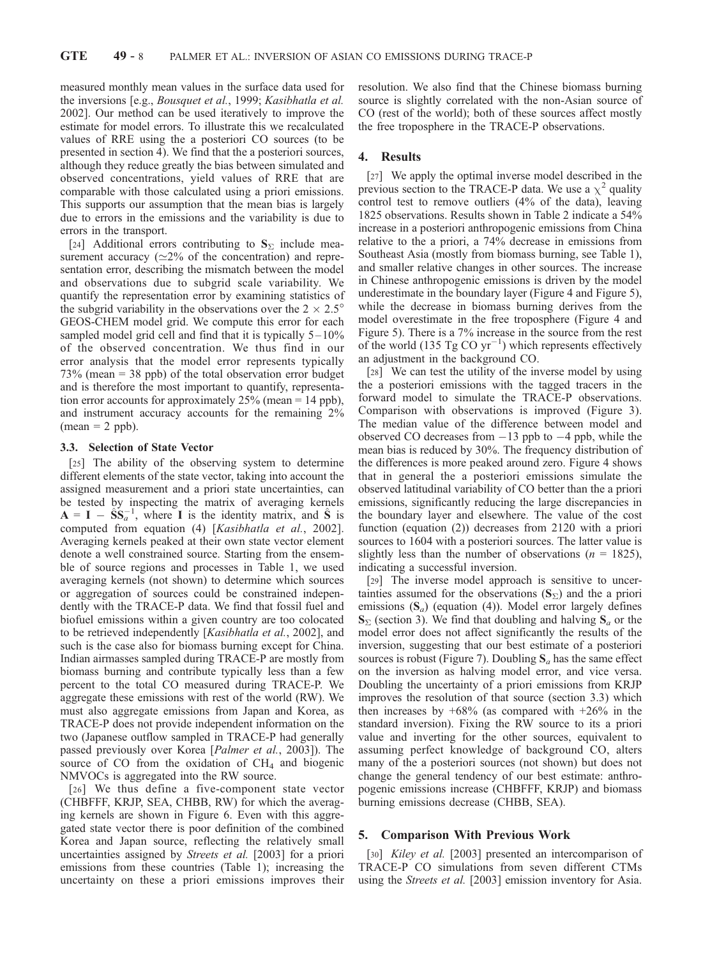measured monthly mean values in the surface data used for the inversions [e.g., Bousquet et al., 1999; Kasibhatla et al. 2002]. Our method can be used iteratively to improve the estimate for model errors. To illustrate this we recalculated values of RRE using the a posteriori CO sources (to be presented in section 4). We find that the a posteriori sources, although they reduce greatly the bias between simulated and observed concentrations, yield values of RRE that are comparable with those calculated using a priori emissions. This supports our assumption that the mean bias is largely due to errors in the emissions and the variability is due to errors in the transport.

[24] Additional errors contributing to  $S_{\Sigma}$  include measurement accuracy ( $\simeq$ 2% of the concentration) and representation error, describing the mismatch between the model and observations due to subgrid scale variability. We quantify the representation error by examining statistics of the subgrid variability in the observations over the  $2 \times 2.5^{\circ}$ GEOS-CHEM model grid. We compute this error for each sampled model grid cell and find that it is typically  $5 - 10\%$ of the observed concentration. We thus find in our error analysis that the model error represents typically 73% (mean = 38 ppb) of the total observation error budget and is therefore the most important to quantify, representation error accounts for approximately 25% (mean = 14 ppb), and instrument accuracy accounts for the remaining 2%  $(mean = 2 ppb)$ .

#### 3.3. Selection of State Vector

[25] The ability of the observing system to determine different elements of the state vector, taking into account the assigned measurement and a priori state uncertainties, can be tested by inspecting the matrix of averaging kernels  $A = I - \hat{S}S_a^{-1}$ , where I is the identity matrix, and  $\hat{S}$  is computed from equation (4) [Kasibhatla et al., 2002]. Averaging kernels peaked at their own state vector element denote a well constrained source. Starting from the ensemble of source regions and processes in Table 1, we used averaging kernels (not shown) to determine which sources or aggregation of sources could be constrained independently with the TRACE-P data. We find that fossil fuel and biofuel emissions within a given country are too colocated to be retrieved independently [Kasibhatla et al., 2002], and such is the case also for biomass burning except for China. Indian airmasses sampled during TRACE-P are mostly from biomass burning and contribute typically less than a few percent to the total CO measured during TRACE-P. We aggregate these emissions with rest of the world (RW). We must also aggregate emissions from Japan and Korea, as TRACE-P does not provide independent information on the two (Japanese outflow sampled in TRACE-P had generally passed previously over Korea [Palmer et al., 2003]). The source of CO from the oxidation of  $CH<sub>4</sub>$  and biogenic NMVOCs is aggregated into the RW source.

[26] We thus define a five-component state vector (CHBFFF, KRJP, SEA, CHBB, RW) for which the averaging kernels are shown in Figure 6. Even with this aggregated state vector there is poor definition of the combined Korea and Japan source, reflecting the relatively small uncertainties assigned by Streets et al. [2003] for a priori emissions from these countries (Table 1); increasing the uncertainty on these a priori emissions improves their resolution. We also find that the Chinese biomass burning source is slightly correlated with the non-Asian source of CO (rest of the world); both of these sources affect mostly the free troposphere in the TRACE-P observations.

## 4. Results

[27] We apply the optimal inverse model described in the previous section to the TRACE-P data. We use a  $\chi^2$  quality control test to remove outliers (4% of the data), leaving 1825 observations. Results shown in Table 2 indicate a 54% increase in a posteriori anthropogenic emissions from China relative to the a priori, a 74% decrease in emissions from Southeast Asia (mostly from biomass burning, see Table 1), and smaller relative changes in other sources. The increase in Chinese anthropogenic emissions is driven by the model underestimate in the boundary layer (Figure 4 and Figure 5), while the decrease in biomass burning derives from the model overestimate in the free troposphere (Figure 4 and Figure 5). There is a 7% increase in the source from the rest of the world (135 Tg CO  $yr^{-1}$ ) which represents effectively an adjustment in the background CO.

[28] We can test the utility of the inverse model by using the a posteriori emissions with the tagged tracers in the forward model to simulate the TRACE-P observations. Comparison with observations is improved (Figure 3). The median value of the difference between model and observed CO decreases from  $-13$  ppb to  $-4$  ppb, while the mean bias is reduced by 30%. The frequency distribution of the differences is more peaked around zero. Figure 4 shows that in general the a posteriori emissions simulate the observed latitudinal variability of CO better than the a priori emissions, significantly reducing the large discrepancies in the boundary layer and elsewhere. The value of the cost function (equation (2)) decreases from 2120 with a priori sources to 1604 with a posteriori sources. The latter value is slightly less than the number of observations ( $n = 1825$ ), indicating a successful inversion.

[29] The inverse model approach is sensitive to uncertainties assumed for the observations  $(S_{\Sigma})$  and the a priori emissions  $(S_a)$  (equation (4)). Model error largely defines  $S_{\Sigma}$  (section 3). We find that doubling and halving  $S_{a}$  or the model error does not affect significantly the results of the inversion, suggesting that our best estimate of a posteriori sources is robust (Figure 7). Doubling  $S_a$  has the same effect on the inversion as halving model error, and vice versa. Doubling the uncertainty of a priori emissions from KRJP improves the resolution of that source (section 3.3) which then increases by  $+68\%$  (as compared with  $+26\%$  in the standard inversion). Fixing the RW source to its a priori value and inverting for the other sources, equivalent to assuming perfect knowledge of background CO, alters many of the a posteriori sources (not shown) but does not change the general tendency of our best estimate: anthropogenic emissions increase (CHBFFF, KRJP) and biomass burning emissions decrease (CHBB, SEA).

## 5. Comparison With Previous Work

[30] Kiley et al. [2003] presented an intercomparison of TRACE-P CO simulations from seven different CTMs using the Streets et al. [2003] emission inventory for Asia.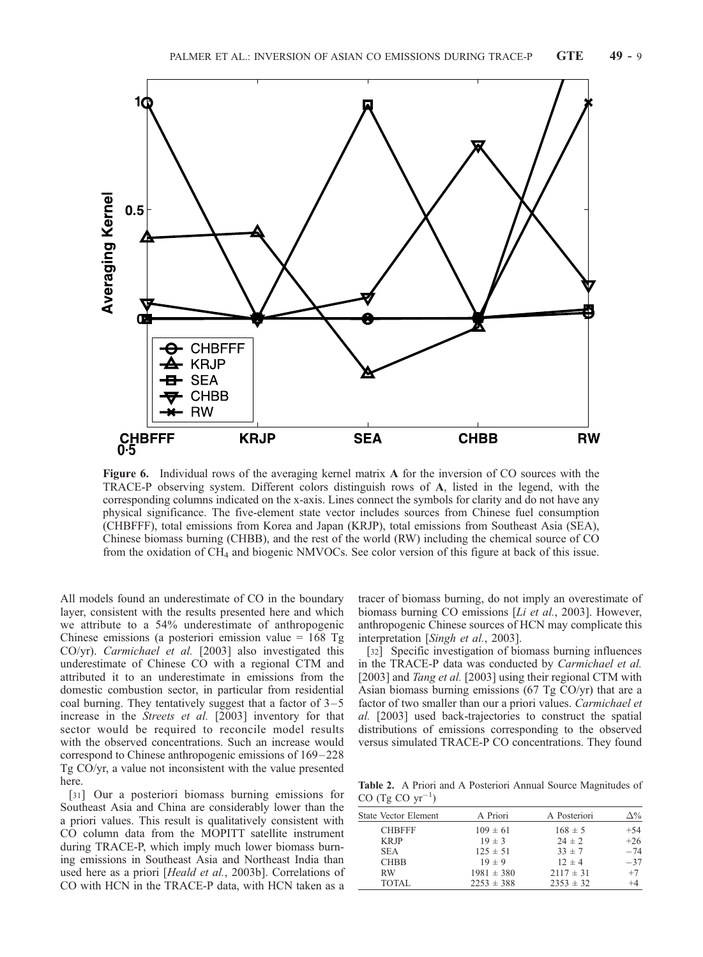

Figure 6. Individual rows of the averaging kernel matrix A for the inversion of CO sources with the TRACE-P observing system. Different colors distinguish rows of A, listed in the legend, with the corresponding columns indicated on the x-axis. Lines connect the symbols for clarity and do not have any physical significance. The five-element state vector includes sources from Chinese fuel consumption (CHBFFF), total emissions from Korea and Japan (KRJP), total emissions from Southeast Asia (SEA), Chinese biomass burning (CHBB), and the rest of the world (RW) including the chemical source of CO from the oxidation of CH4 and biogenic NMVOCs. See color version of this figure at back of this issue.

All models found an underestimate of CO in the boundary layer, consistent with the results presented here and which we attribute to a 54% underestimate of anthropogenic Chinese emissions (a posteriori emission value =  $168$  Tg CO/yr). Carmichael et al. [2003] also investigated this underestimate of Chinese CO with a regional CTM and attributed it to an underestimate in emissions from the domestic combustion sector, in particular from residential coal burning. They tentatively suggest that a factor of  $3-5$ increase in the Streets et al. [2003] inventory for that sector would be required to reconcile model results with the observed concentrations. Such an increase would correspond to Chinese anthropogenic emissions of  $169-228$ Tg CO/yr, a value not inconsistent with the value presented here.

[31] Our a posteriori biomass burning emissions for Southeast Asia and China are considerably lower than the a priori values. This result is qualitatively consistent with CO column data from the MOPITT satellite instrument during TRACE-P, which imply much lower biomass burning emissions in Southeast Asia and Northeast India than used here as a priori [Heald et al., 2003b]. Correlations of CO with HCN in the TRACE-P data, with HCN taken as a

tracer of biomass burning, do not imply an overestimate of biomass burning CO emissions [*Li et al.*, 2003]. However, anthropogenic Chinese sources of HCN may complicate this interpretation [Singh et al., 2003].

[32] Specific investigation of biomass burning influences in the TRACE-P data was conducted by Carmichael et al. [2003] and Tang et al. [2003] using their regional CTM with Asian biomass burning emissions (67 Tg CO/yr) that are a factor of two smaller than our a priori values. Carmichael et al. [2003] used back-trajectories to construct the spatial distributions of emissions corresponding to the observed versus simulated TRACE-P CO concentrations. They found

Table 2. A Priori and A Posteriori Annual Source Magnitudes of CO  $(Tg CO yr^{-1})$ 

| <b>State Vector Element</b> | A Priori       | A Posteriori  | $\Delta\%$ |
|-----------------------------|----------------|---------------|------------|
| <b>CHBFFF</b>               | $109 \pm 61$   | $168 \pm 5$   | $+54$      |
| <b>KRJP</b>                 | $19 \pm 3$     | $24 \pm 2$    | $+26$      |
| <b>SEA</b>                  | $125 \pm 51$   | $33 \pm 7$    | $-74$      |
| <b>CHBB</b>                 | $19 \pm 9$     | $12 \pm 4$    | $-37$      |
| <b>RW</b>                   | $1981 \pm 380$ | $2117 \pm 31$ | $+7$       |
| <b>TOTAL</b>                | $2253 \pm 388$ | $2353 \pm 32$ | $^{+4}$    |
|                             |                |               |            |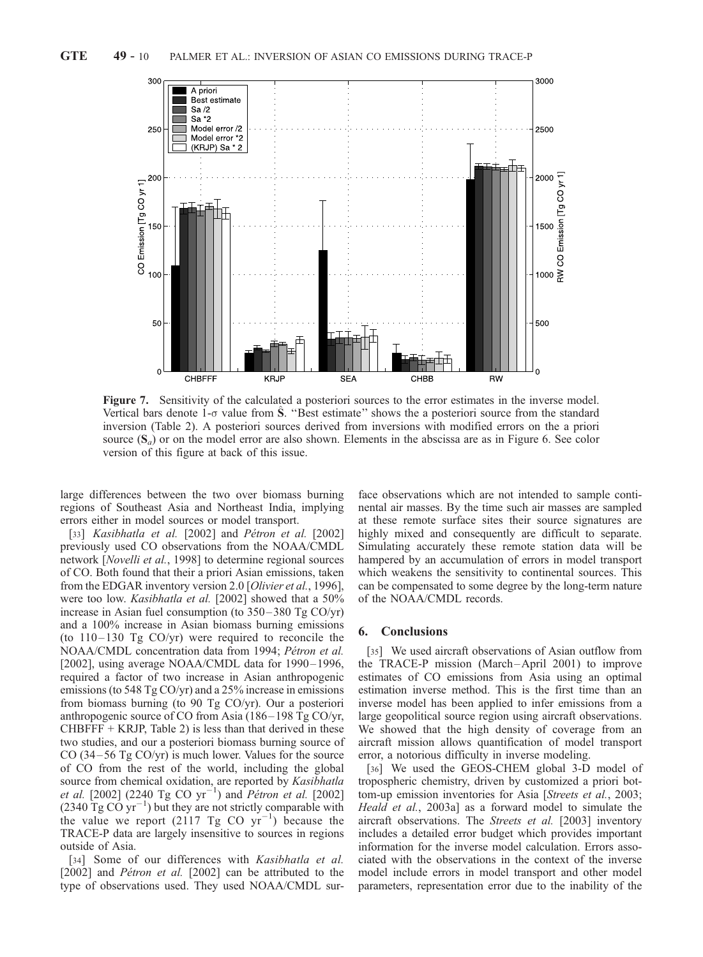

Figure 7. Sensitivity of the calculated a posteriori sources to the error estimates in the inverse model. Vertical bars denote  $1-\sigma$  value from S. "Best estimate" shows the a posteriori source from the standard inversion (Table 2). A posteriori sources derived from inversions with modified errors on the a priori source  $(S_a)$  or on the model error are also shown. Elements in the abscissa are as in Figure 6. See color version of this figure at back of this issue.

large differences between the two over biomass burning regions of Southeast Asia and Northeast India, implying errors either in model sources or model transport.

[33] Kasibhatla et al.  $[2002]$  and Pétron et al.  $[2002]$ previously used CO observations from the NOAA/CMDL network [Novelli et al., 1998] to determine regional sources of CO. Both found that their a priori Asian emissions, taken from the EDGAR inventory version 2.0 [Olivier et al., 1996], were too low. Kasibhatla et al. [2002] showed that a 50% increase in Asian fuel consumption (to  $350 - 380$  Tg CO/yr) and a 100% increase in Asian biomass burning emissions (to  $110 - 130$  Tg CO/yr) were required to reconcile the NOAA/CMDL concentration data from 1994; Pétron et al. [2002], using average NOAA/CMDL data for 1990-1996, required a factor of two increase in Asian anthropogenic emissions (to 548 Tg CO/yr) and a 25% increase in emissions from biomass burning (to 90 Tg CO/yr). Our a posteriori anthropogenic source of CO from Asia (186– 198 Tg CO/yr,  $CHBFFF + KRJP$ , Table 2) is less than that derived in these two studies, and our a posteriori biomass burning source of CO (34 $-56$  Tg CO/yr) is much lower. Values for the source of CO from the rest of the world, including the global source from chemical oxidation, are reported by Kasibhatla *et al.* [2002] (2240 Tg CO  $yr^{-1}$ ) and *Pétron et al.* [2002]  $(2340 \mathrm{~Tg~CO~yr}^{-1})$  but they are not strictly comparable with the value we report (2117 Tg CO  $yr^{-1}$ ) because the TRACE-P data are largely insensitive to sources in regions outside of Asia.

[34] Some of our differences with Kasibhatla et al.  $[2002]$  and *Pétron et al.*  $[2002]$  can be attributed to the type of observations used. They used NOAA/CMDL sur-

face observations which are not intended to sample continental air masses. By the time such air masses are sampled at these remote surface sites their source signatures are highly mixed and consequently are difficult to separate. Simulating accurately these remote station data will be hampered by an accumulation of errors in model transport which weakens the sensitivity to continental sources. This can be compensated to some degree by the long-term nature of the NOAA/CMDL records.

## 6. Conclusions

[35] We used aircraft observations of Asian outflow from the TRACE-P mission (March –April 2001) to improve estimates of CO emissions from Asia using an optimal estimation inverse method. This is the first time than an inverse model has been applied to infer emissions from a large geopolitical source region using aircraft observations. We showed that the high density of coverage from an aircraft mission allows quantification of model transport error, a notorious difficulty in inverse modeling.

[36] We used the GEOS-CHEM global 3-D model of tropospheric chemistry, driven by customized a priori bottom-up emission inventories for Asia [Streets et al., 2003; Heald et al., 2003a] as a forward model to simulate the aircraft observations. The Streets et al. [2003] inventory includes a detailed error budget which provides important information for the inverse model calculation. Errors associated with the observations in the context of the inverse model include errors in model transport and other model parameters, representation error due to the inability of the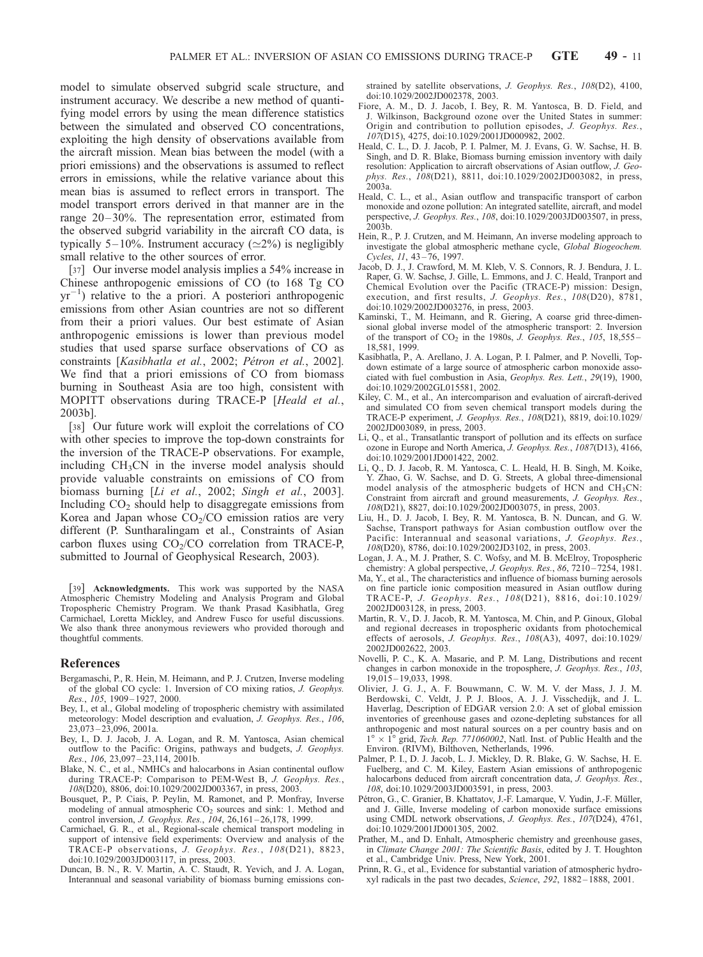model to simulate observed subgrid scale structure, and instrument accuracy. We describe a new method of quantifying model errors by using the mean difference statistics between the simulated and observed CO concentrations, exploiting the high density of observations available from the aircraft mission. Mean bias between the model (with a priori emissions) and the observations is assumed to reflect errors in emissions, while the relative variance about this mean bias is assumed to reflect errors in transport. The model transport errors derived in that manner are in the range 20– 30%. The representation error, estimated from the observed subgrid variability in the aircraft CO data, is typically 5–10%. Instrument accuracy ( $\simeq$ 2%) is negligibly small relative to the other sources of error.

[37] Our inverse model analysis implies a 54% increase in Chinese anthropogenic emissions of CO (to 168 Tg CO  $yr^{-1}$ ) relative to the a priori. A posteriori anthropogenic emissions from other Asian countries are not so different from their a priori values. Our best estimate of Asian anthropogenic emissions is lower than previous model studies that used sparse surface observations of CO as constraints [Kasibhatla et al., 2002; Pétron et al., 2002]. We find that a priori emissions of CO from biomass burning in Southeast Asia are too high, consistent with MOPITT observations during TRACE-P [Heald et al., 2003b].

[38] Our future work will exploit the correlations of CO with other species to improve the top-down constraints for the inversion of the TRACE-P observations. For example, including  $CH<sub>3</sub>CN$  in the inverse model analysis should provide valuable constraints on emissions of CO from biomass burning [Li et al., 2002; Singh et al., 2003]. Including  $CO<sub>2</sub>$  should help to disaggregate emissions from Korea and Japan whose  $CO<sub>2</sub>/CO$  emission ratios are very different (P. Suntharalingam et al., Constraints of Asian carbon fluxes using  $CO<sub>2</sub>/CO$  correlation from TRACE-P, submitted to Journal of Geophysical Research, 2003).

[39] Acknowledgments. This work was supported by the NASA Atmospheric Chemistry Modeling and Analysis Program and Global Tropospheric Chemistry Program. We thank Prasad Kasibhatla, Greg Carmichael, Loretta Mickley, and Andrew Fusco for useful discussions. We also thank three anonymous reviewers who provided thorough and thoughtful comments.

#### References

- Bergamaschi, P., R. Hein, M. Heimann, and P. J. Crutzen, Inverse modeling of the global CO cycle: 1. Inversion of CO mixing ratios, J. Geophys. Res.,  $105$ , 1909 – 1927, 2000.
- Bey, I., et al., Global modeling of tropospheric chemistry with assimilated meteorology: Model description and evaluation, J. Geophys. Res., 106, 23,073 – 23,096, 2001a.
- Bey, I., D. J. Jacob, J. A. Logan, and R. M. Yantosca, Asian chemical outflow to the Pacific: Origins, pathways and budgets, J. Geophys. Res., 106, 23,097-23,114, 2001b.
- Blake, N. C., et al., NMHCs and halocarbons in Asian continental ouflow during TRACE-P: Comparison to PEM-West B, J. Geophys. Res., 108(D20), 8806, doi:10.1029/2002JD003367, in press, 2003.
- Bousquet, P., P. Ciais, P. Peylin, M. Ramonet, and P. Monfray, Inverse modeling of annual atmospheric  $CO<sub>2</sub>$  sources and sink: 1. Method and control inversion, *J. Geophys. Res.*, 104, 26, 161 – 26, 178, 1999.
- Carmichael, G. R., et al., Regional-scale chemical transport modeling in support of intensive field experiments: Overview and analysis of the TRACE-P observations, J. Geophys. Res., 108(D21), 8823, doi:10.1029/2003JD003117, in press, 2003.
- Duncan, B. N., R. V. Martin, A. C. Staudt, R. Yevich, and J. A. Logan, Interannual and seasonal variability of biomass burning emissions con-

strained by satellite observations, J. Geophys. Res., 108(D2), 4100, doi:10.1029/2002JD002378, 2003.

- Fiore, A. M., D. J. Jacob, I. Bey, R. M. Yantosca, B. D. Field, and J. Wilkinson, Background ozone over the United States in summer: Origin and contribution to pollution episodes, J. Geophys. Res., 107(D15), 4275, doi:10.1029/2001JD000982, 2002.
- Heald, C. L., D. J. Jacob, P. I. Palmer, M. J. Evans, G. W. Sachse, H. B. Singh, and D. R. Blake, Biomass burning emission inventory with daily resolution: Application to aircraft observations of Asian outflow, J. Geophys. Res., 108(D21), 8811, doi:10.1029/2002JD003082, in press, 2003a.
- Heald, C. L., et al., Asian outflow and transpacific transport of carbon monoxide and ozone pollution: An integrated satellite, aircraft, and model perspective, J. Geophys. Res., 108, doi:10.1029/2003JD003507, in press,  $2003<sub>b</sub>$ .
- Hein, R., P. J. Crutzen, and M. Heimann, An inverse modeling approach to investigate the global atmospheric methane cycle, Global Biogeochem. Cycles, 11, 43-76, 1997.
- Jacob, D. J., J. Crawford, M. M. Kleb, V. S. Connors, R. J. Bendura, J. L. Raper, G. W. Sachse, J. Gille, L. Emmons, and J. C. Heald, Tranport and Chemical Evolution over the Pacific (TRACE-P) mission: Design, execution, and first results, *J. Geophys. Res.*, 108(D20), 8781, doi:10.1029/2002JD003276, in press, 2003.
- Kaminski, T., M. Heimann, and R. Giering, A coarse grid three-dimensional global inverse model of the atmospheric transport: 2. Inversion of the transport of  $CO<sub>2</sub>$  in the 1980s, J. Geophys. Res., 105, 18,555– 18,581, 1999.
- Kasibhatla, P., A. Arellano, J. A. Logan, P. I. Palmer, and P. Novelli, Topdown estimate of a large source of atmospheric carbon monoxide associated with fuel combustion in Asia, Geophys. Res. Lett., 29(19), 1900, doi:10.1029/2002GL015581, 2002.
- Kiley, C. M., et al., An intercomparison and evaluation of aircraft-derived and simulated CO from seven chemical transport models during the TRACE-P experiment, J. Geophys. Res., 108(D21), 8819, doi:10.1029/ 2002JD003089, in press, 2003.
- Li, Q., et al., Transatlantic transport of pollution and its effects on surface ozone in Europe and North America, J. Geophys. Res., 1087(D13), 4166, doi:10.1029/2001JD001422, 2002.
- Li, Q., D. J. Jacob, R. M. Yantosca, C. L. Heald, H. B. Singh, M. Koike, Y. Zhao, G. W. Sachse, and D. G. Streets, A global three-dimensional model analysis of the atmospheric budgets of HCN and CH<sub>3</sub>CN: Constraint from aircraft and ground measurements, J. Geophys. Res., 108(D21), 8827, doi:10.1029/2002JD003075, in press, 2003.
- Liu, H., D. J. Jacob, I. Bey, R. M. Yantosca, B. N. Duncan, and G. W. Sachse, Transport pathways for Asian combustion outflow over the Pacific: Interannual and seasonal variations, J. Geophys. Res., 108(D20), 8786, doi:10.1029/2002JD3102, in press, 2003.
- Logan, J. A., M. J. Prather, S. C. Wofsy, and M. B. McElroy, Tropospheric chemistry: A global perspective, *J. Geophys. Res.*, 86, 7210–7254, 1981.
- Ma, Y., et al., The characteristics and influence of biomass burning aerosols on fine particle ionic composition measured in Asian outflow during TRACE-P, J. Geophys. Res., 108(D21), 8816, doi:10.1029/ 2002JD003128, in press, 2003.
- Martin, R. V., D. J. Jacob, R. M. Yantosca, M. Chin, and P. Ginoux, Global and regional decreases in tropospheric oxidants from photochemical effects of aerosols, J. Geophys. Res.,  $108(A3)$ ,  $4097$ , doi:10.1029/ 2002JD002622, 2003.
- Novelli, P. C., K. A. Masarie, and P. M. Lang, Distributions and recent changes in carbon monoxide in the troposphere, J. Geophys. Res., 103, 19,015 – 19,033, 1998.
- Olivier, J. G. J., A. F. Bouwmann, C. W. M. V. der Mass, J. J. M. Berdowski, C. Veldt, J. P. J. Bloos, A. J. J. Visschedijk, and J. L. Haverlag, Description of EDGAR version 2.0: A set of global emission inventories of greenhouse gases and ozone-depleting substances for all anthropogenic and most natural sources on a per country basis and on  $1^{\circ} \times 1^{\circ}$  grid, *Tech. Rep. 771060002*, Natl. Inst. of Public Health and the Environ. (RIVM), Bilthoven, Netherlands, 1996.
- Palmer, P. I., D. J. Jacob, L. J. Mickley, D. R. Blake, G. W. Sachse, H. E. Fuelberg, and C. M. Kiley, Eastern Asian emissions of anthropogenic halocarbons deduced from aircraft concentration data, *J. Geophys. Res.*, 108, doi:10.1029/2003JD003591, in press, 2003.
- Pétron, G., C. Granier, B. Khattatov, J.-F. Lamarque, V. Yudin, J.-F. Müller, and J. Gille, Inverse modeling of carbon monoxide surface emissions using CMDL network observations, J. Geophys. Res., 107(D24), 4761, doi:10.1029/2001JD001305, 2002.
- Prather, M., and D. Enhalt, Atmospheric chemistry and greenhouse gases, in Climate Change 2001: The Scientific Basis, edited by J. T. Houghton et al., Cambridge Univ. Press, New York, 2001.
- Prinn, R. G., et al., Evidence for substantial variation of atmospheric hydroxyl radicals in the past two decades, Science, 292, 1882 – 1888, 2001.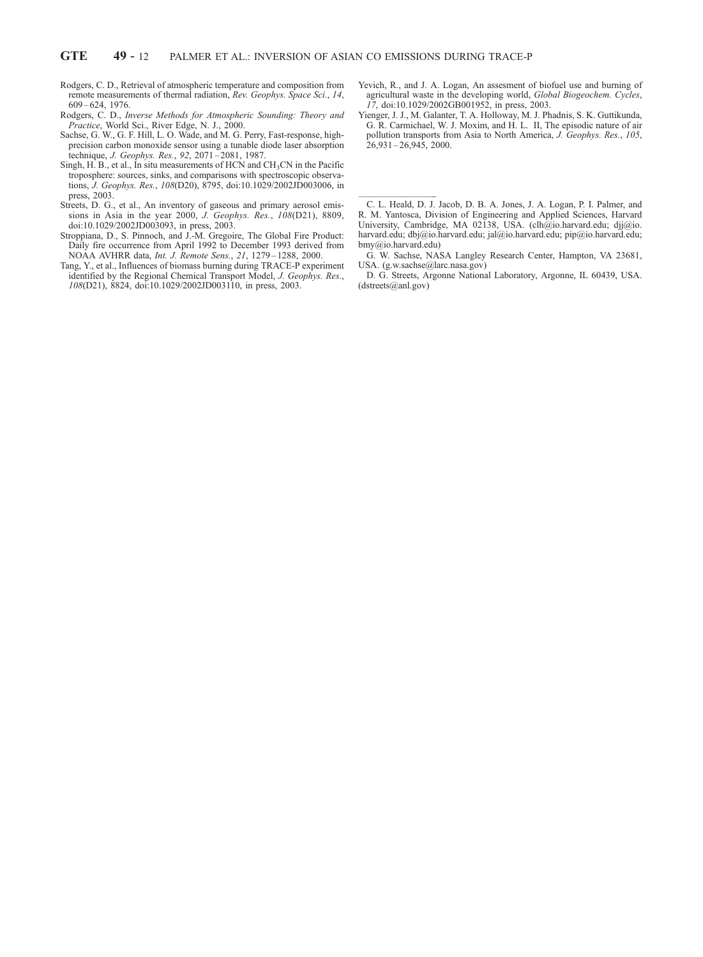-

- Rodgers, C. D., Retrieval of atmospheric temperature and composition from remote measurements of thermal radiation, Rev. Geophys. Space Sci., 14, 609 – 624, 1976.
- Rodgers, C. D., Inverse Methods for Atmospheric Sounding: Theory and Practice, World Sci., River Edge, N. J., 2000.
- Sachse, G. W., G. F. Hill, L. O. Wade, and M. G. Perry, Fast-response, highprecision carbon monoxide sensor using a tunable diode laser absorption technique, J. Geophys. Res., 92, 2071 – 2081, 1987.
- Singh, H. B., et al., In situ measurements of HCN and  $CH<sub>3</sub>CN$  in the Pacific troposphere: sources, sinks, and comparisons with spectroscopic observations, J. Geophys. Res., 108(D20), 8795, doi:10.1029/2002JD003006, in press, 2003.
- Streets, D. G., et al., An inventory of gaseous and primary aerosol emissions in Asia in the year 2000, J. Geophys. Res., 108(D21), 8809, doi:10.1029/2002JD003093, in press, 2003.
- Stroppiana, D., S. Pinnoch, and J.-M. Gregoire, The Global Fire Product: Daily fire occurrence from April 1992 to December 1993 derived from NOAA AVHRR data, Int. J. Remote Sens., 21, 1279 – 1288, 2000.
- Tang, Y., et al., Influences of biomass burning during TRACE-P experiment identified by the Regional Chemical Transport Model, J. Geophys. Res., 108(D21), 8824, doi:10.1029/2002JD003110, in press, 2003.
- Yevich, R., and J. A. Logan, An assesment of biofuel use and burning of agricultural waste in the developing world, Global Biogeochem. Cycles, 17, doi:10.1029/2002GB001952, in press, 2003.
- Yienger, J. J., M. Galanter, T. A. Holloway, M. J. Phadnis, S. K. Guttikunda, G. R. Carmichael, W. J. Moxim, and H. L. II, The episodic nature of air pollution transports from Asia to North America, J. Geophys. Res., 105,  $26,931 - 26,945,2000$ .

D. G. Streets, Argonne National Laboratory, Argonne, IL 60439, USA. (dstreets@anl.gov)

C. L. Heald, D. J. Jacob, D. B. A. Jones, J. A. Logan, P. I. Palmer, and R. M. Yantosca, Division of Engineering and Applied Sciences, Harvard University, Cambridge, MA 02138, USA. (clh@io.harvard.edu; djj@io. harvard.edu; dbj@io.harvard.edu; jal@io.harvard.edu; pip@io.harvard.edu; bmy@io.harvard.edu)

G. W. Sachse, NASA Langley Research Center, Hampton, VA 23681, USA. (g.w.sachse@larc.nasa.gov)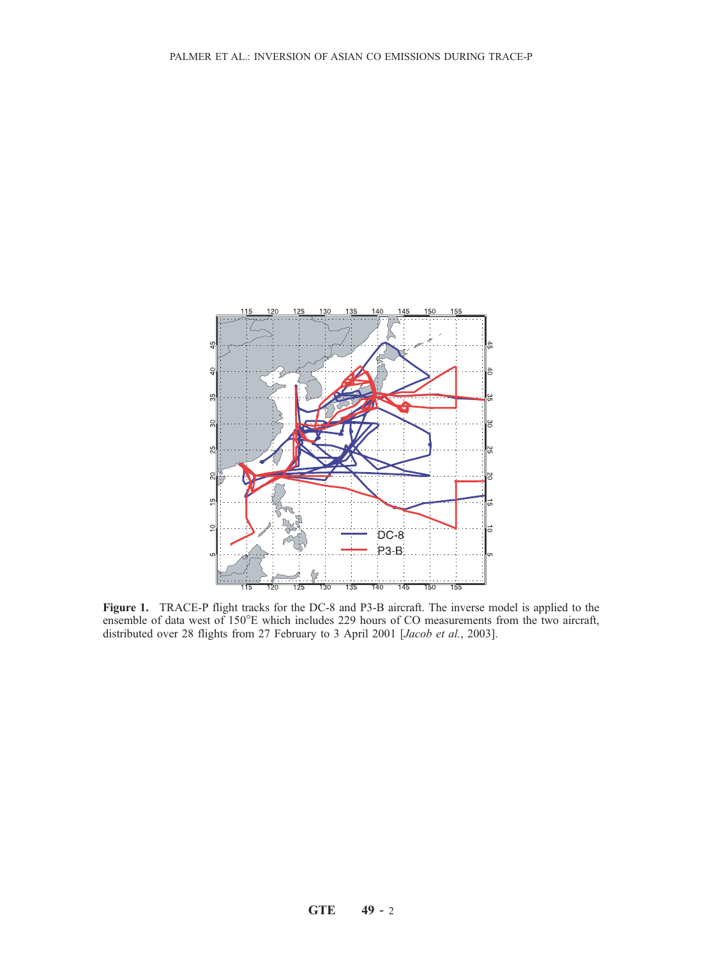

Figure 1. TRACE-P flight tracks for the DC-8 and P3-B aircraft. The inverse model is applied to the ensemble of data west of 150°E which includes 229 hours of CO measurements from the two aircraft, distributed over 28 flights from 27 February to 3 April 2001 [Jacob et al., 2003].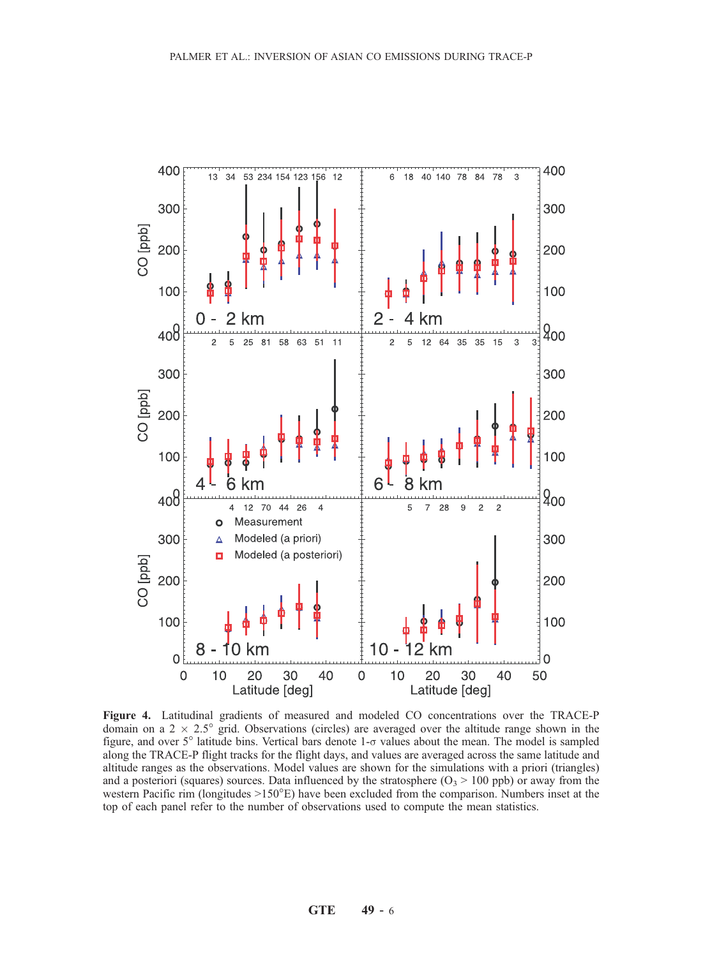

Figure 4. Latitudinal gradients of measured and modeled CO concentrations over the TRACE-P domain on a  $2 \times 2.5^{\circ}$  grid. Observations (circles) are averaged over the altitude range shown in the figure, and over  $5^\circ$  latitude bins. Vertical bars denote  $1-\sigma$  values about the mean. The model is sampled along the TRACE-P flight tracks for the flight days, and values are averaged across the same latitude and altitude ranges as the observations. Model values are shown for the simulations with a priori (triangles) and a posteriori (squares) sources. Data influenced by the stratosphere  $(O_3 > 100$  ppb) or away from the western Pacific rim (longitudes  $>150^{\circ}E$ ) have been excluded from the comparison. Numbers inset at the top of each panel refer to the number of observations used to compute the mean statistics.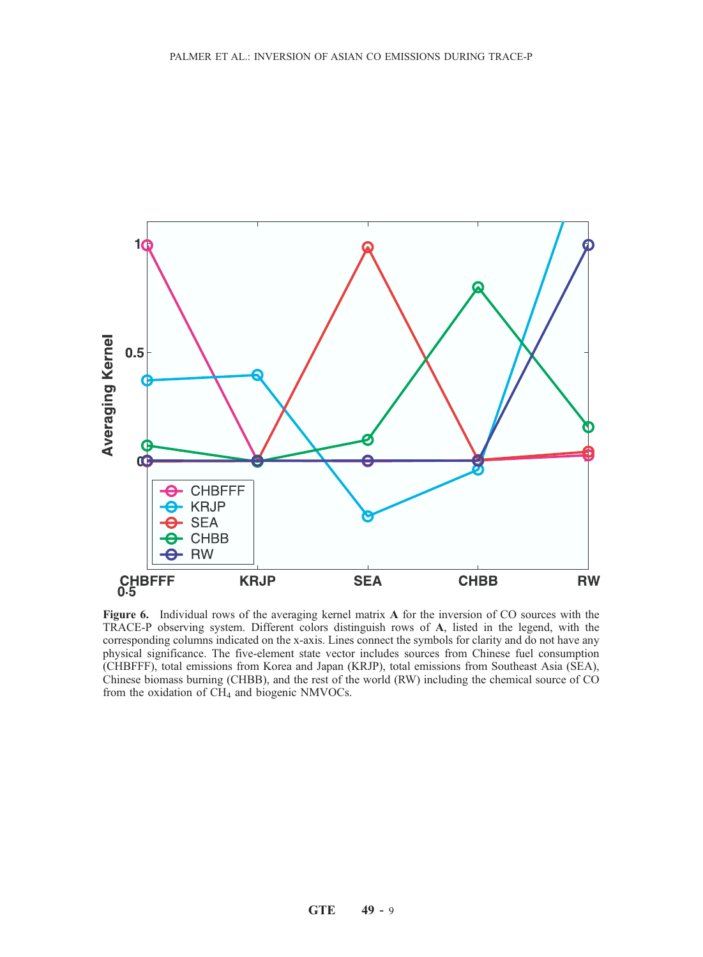

Figure 6. Individual rows of the averaging kernel matrix A for the inversion of CO sources with the TRACE-P observing system. Different colors distinguish rows of A, listed in the legend, with the corresponding columns indicated on the x-axis. Lines connect the symbols for clarity and do not have any physical significance. The five-element state vector includes sources from Chinese fuel consumption (CHBFFF), total emissions from Korea and Japan (KRJP), total emissions from Southeast Asia (SEA), Chinese biomass burning (CHBB), and the rest of the world (RW) including the chemical source of CO from the oxidation of  $CH<sub>4</sub>$  and biogenic NMVOCs.